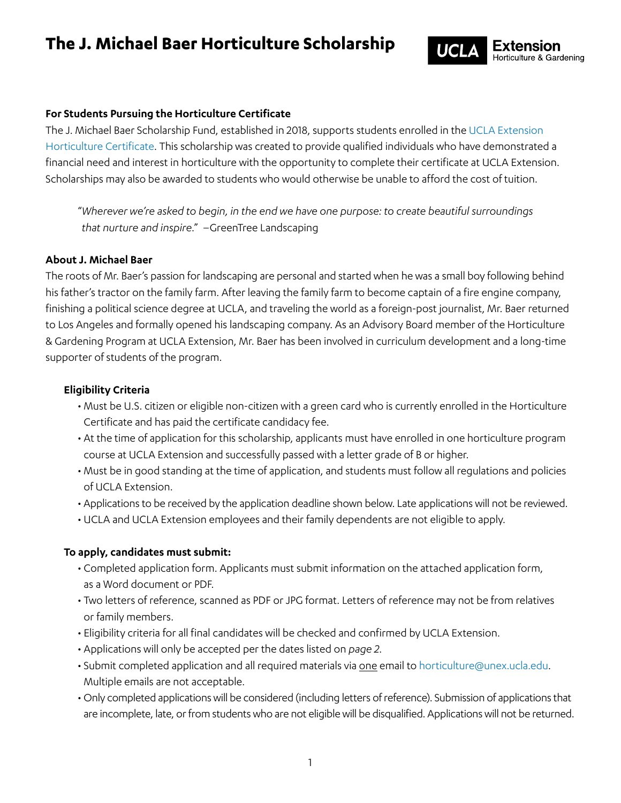## **The J. Michael Baer Horticulture Scholarship**



## **For Students Pursuing the Horticulture Certificate**

The J. Michael Baer Scholarship Fund, established in 2018, supports students enrolled in the [UCLA Extension](https://www.uclaextension.edu/landscape-architecture-horticulture/horticulture-gardening/certificate/horticulture)  [Horticulture Certificate.](https://www.uclaextension.edu/landscape-architecture-horticulture/horticulture-gardening/certificate/horticulture) This scholarship was created to provide qualified individuals who have demonstrated a financial need and interest in horticulture with the opportunity to complete their certificate at UCLA Extension. Scholarships may also be awarded to students who would otherwise be unable to afford the cost of tuition.

"*Wherever we're asked to begin, in the end we have one purpose: to create beautiful surroundings that nurture and inspire*." –GreenTree Landscaping

## **About J. Michael Baer**

The roots of Mr. Baer's passion for landscaping are personal and started when he was a small boy following behind his father's tractor on the family farm. After leaving the family farm to become captain of a fire engine company, finishing a political science degree at UCLA, and traveling the world as a foreign-post journalist, Mr. Baer returned to Los Angeles and formally opened his landscaping company. As an Advisory Board member of the Horticulture & Gardening Program at UCLA Extension, Mr. Baer has been involved in curriculum development and a long-time supporter of students of the program.

### **Eligibility Criteria**

- Must be U.S. citizen or eligible non-citizen with a green card who is currently enrolled in the Horticulture Certificate and has paid the certificate candidacy fee.
- At the time of application for this scholarship, applicants must have enrolled in one horticulture program course at UCLA Extension and successfully passed with a letter grade of B or higher.
- Must be in good standing at the time of application, and students must follow all regulations and policies of UCLA Extension.
- Applications to be received by the application deadline shown below. Late applications will not be reviewed.
- UCLA and UCLA Extension employees and their family dependents are not eligible to apply.

## **To apply, candidates must submit:**

- Completed application form. Applicants must submit information on the attached application form, as a Word document or PDF.
- Two letters of reference, scanned as PDF or JPG format. Letters of reference may not be from relatives or family members.
- Eligibility criteria for all final candidates will be checked and confirmed by UCLA Extension.
- Applications will only be accepted per the dates listed on *page 2*.
- Submit completed application and all required materials via one email to [horticulture@unex.ucla.edu.](mailto: horticulture@unex.ucla.edu)  Multiple emails are not acceptable.
- Only completed applications will be considered (including letters of reference). Submission of applications that are incomplete, late, or from students who are not eligible will be disqualified. Applications will not be returned.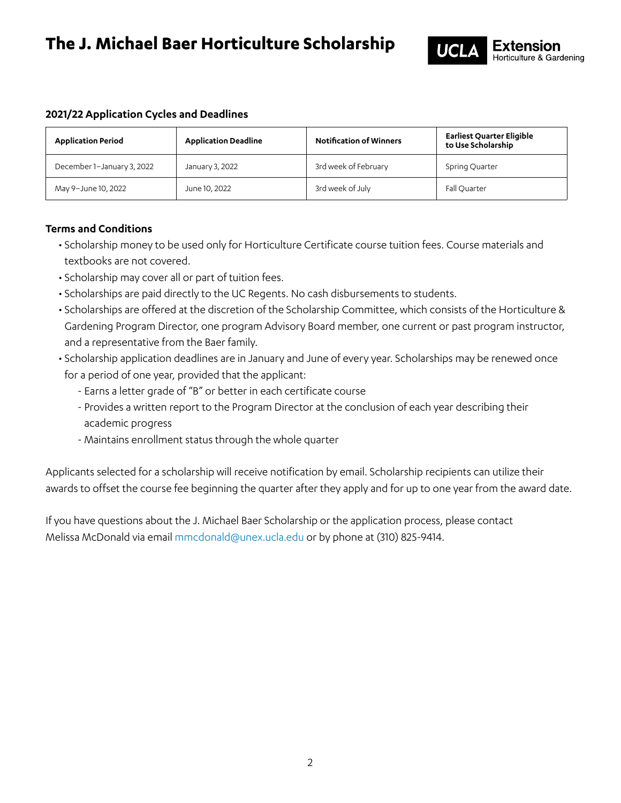## **The J. Michael Baer Horticulture Scholarship**



## **2021/22 Application Cycles and Deadlines**

| <b>Application Period</b>  | <b>Application Deadline</b> | <b>Notification of Winners</b> | <b>Earliest Quarter Eligible</b><br>to Use Scholarship |
|----------------------------|-----------------------------|--------------------------------|--------------------------------------------------------|
| December 1-January 3, 2022 | January 3, 2022             | 3rd week of February           | Spring Quarter                                         |
| May 9-June 10, 2022        | June 10, 2022               | 3rd week of July               | Fall Quarter                                           |

## **Terms and Conditions**

- Scholarship money to be used only for Horticulture Certificate course tuition fees. Course materials and textbooks are not covered.
- Scholarship may cover all or part of tuition fees.
- Scholarships are paid directly to the UC Regents. No cash disbursements to students.
- Scholarships are offered at the discretion of the Scholarship Committee, which consists of the Horticulture & Gardening Program Director, one program Advisory Board member, one current or past program instructor, and a representative from the Baer family.
- Scholarship application deadlines are in January and June of every year. Scholarships may be renewed once for a period of one year, provided that the applicant:
	- Earns a letter grade of "B" or better in each certificate course
	- Provides a written report to the Program Director at the conclusion of each year describing their academic progress
	- Maintains enrollment status through the whole quarter

Applicants selected for a scholarship will receive notification by email. Scholarship recipients can utilize their awards to offset the course fee beginning the quarter after they apply and for up to one year from the award date.

If you have questions about the J. Michael Baer Scholarship or the application process, please contact Melissa McDonald via emai[l mmcdonald@unex.ucla.edu](mailto: mmcdonald@unex.ucla.edu) or by phone at (310) 825-9414.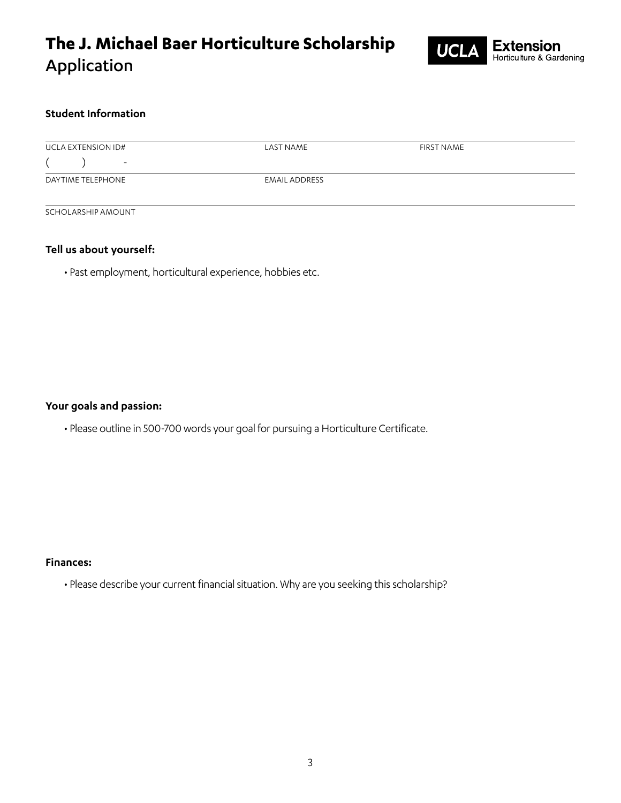# **The J. Michael Baer Horticulture Scholarship** Application



## **Student Information**

| <b>UCLA EXTENSION ID#</b> | LAST NAME            | <b>FIRST NAME</b> |  |
|---------------------------|----------------------|-------------------|--|
| $\overline{\phantom{0}}$  |                      |                   |  |
| DAYTIME TELEPHONE         | <b>EMAIL ADDRESS</b> |                   |  |
|                           |                      |                   |  |

SCHOLARSHIP AMOUNT

### **Tell us about yourself:**

• Past employment, horticultural experience, hobbies etc.

#### **Your goals and passion:**

• Please outline in 500-700 words your goal for pursuing a Horticulture Certificate.

#### **Finances:**

• Please describe your current financial situation. Why are you seeking this scholarship?